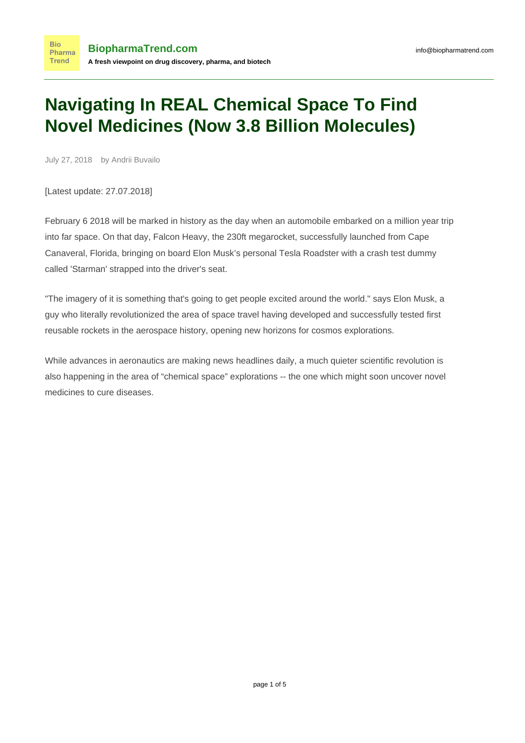## **Navigating In REAL Chemical Space To Find Novel Medicines (Now 3.8 Billion Molecules)**

July 27, 2018 by Andrii Buvailo

[Latest update: 27.07.2018]

February 6 2018 will be marked in history as the day when an automobile embarked on a million year trip into far space. On that day, Falcon Heavy, the 230ft megarocket, successfully launched from Cape Canaveral, Florida, bringing on board Elon Musk's personal Tesla Roadster with a crash test dummy called 'Starman' strapped into the driver's seat.

"The imagery of it is something that's going to get people excited around the world." says Elon Musk, a guy who literally revolutionized the area of space travel having developed and successfully tested first reusable rockets in the aerospace history, opening new horizons for cosmos explorations.

While advances in aeronautics are making news headlines daily, a much quieter scientific revolution is also happening in the area of "chemical space" explorations -- the one which might soon uncover novel medicines to cure diseases.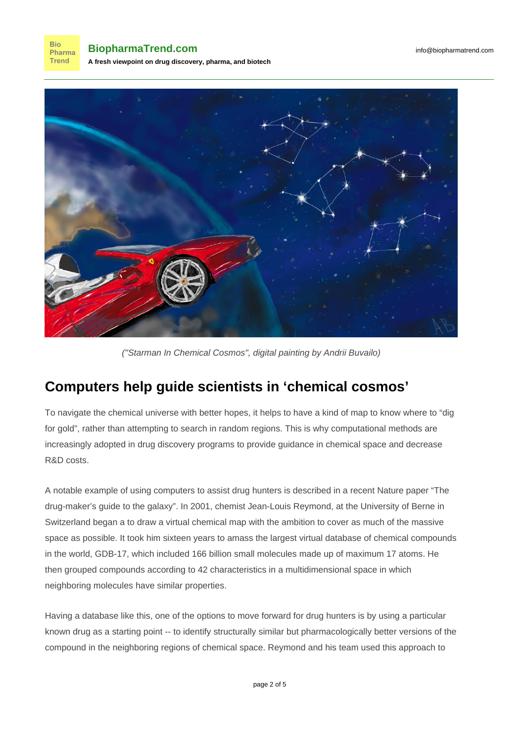**Bio** Pharma **Trend** 

**BiopharmaTrend.com A fresh viewpoint on drug discovery, pharma, and biotech**



("Starman In Chemical Cosmos", digital painting by Andrii Buvailo)

## **Computers help guide scientists in 'chemical cosmos'**

To navigate the chemical universe with better hopes, it helps to have a kind of map to know where to "dig for gold", rather than attempting to search in random regions. This is why computational methods are increasingly adopted in drug discovery programs to provide guidance in chemical space and decrease R&D costs.

A notable example of using computers to assist drug hunters is described in a recent Nature paper ["The](https://www.nature.com/news/the-drug-maker-s-guide-to-the-galaxy-1.22683) [drug-maker's guide to the galaxy](https://www.nature.com/news/the-drug-maker-s-guide-to-the-galaxy-1.22683)". In 2001, chemist Jean-Louis Reymond, at the University of Berne in Switzerland began a to draw a virtual chemical map with the ambition to cover as much of the massive space as possible. It took him sixteen years to amass the largest virtual database of chemical compounds in the world, GDB-17, which included 166 billion small molecules made up of maximum 17 atoms. He then grouped compounds according to 42 characteristics in a multidimensional space in which neighboring molecules have similar properties.

Having a database like this, one of the options to move forward for drug hunters is by using a particular known drug as a starting point -- to identify structurally similar but pharmacologically better versions of the compound in the neighboring regions of chemical space. Reymond and his team [used this approach](https://pubs.acs.org/doi/10.1021/ar500432k) to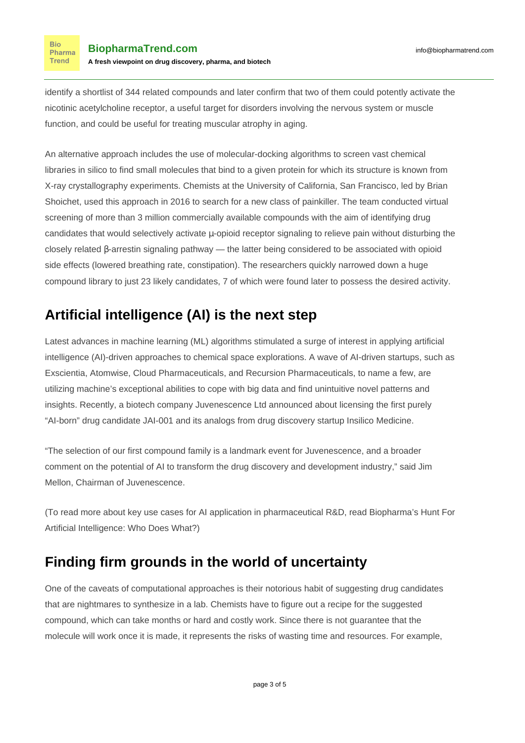**Bio** Pharma **Trend** 

identify a shortlist of 344 related compounds and later confirm that two of them could potently activate the nicotinic acetylcholine receptor, a useful target for disorders involving the nervous system or muscle function, and could be useful for treating muscular atrophy in aging.

An alternative approach includes the use of molecular-docking algorithms to screen vast chemical libraries in silico to find small molecules that bind to a given protein for which its structure is known from X-ray crystallography experiments. Chemists at the University of California, San Francisco, led by Brian Shoichet, [used this approach in 2016](https://www.nature.com/articles/nature19112) to search for a new class of painkiller. The team conducted virtual screening of more than 3 million commercially available compounds with the aim of identifying drug candidates that would selectively activate  $\mu$ -opioid receptor signaling to relieve pain without disturbing the closely related β-arrestin signaling pathway — the latter being considered to be associated with opioid side effects (lowered breathing rate, constipation). The researchers quickly narrowed down a huge compound library to just 23 likely candidates, 7 of which were found later to possess the desired activity.

## **Artificial intelligence (AI) is the next step**

Latest advances in machine learning (ML) algorithms stimulated a surge of interest in applying artificial intelligence (AI)-driven approaches to chemical space explorations. A wave of AI-driven startups, such as Exscientia, Atomwise, Cloud Pharmaceuticals, and Recursion Pharmaceuticals, to name a few, are utilizing machine's exceptional abilities to cope with big data and find unintuitive novel patterns and insights. Recently, a biotech company Juvenescence Ltd [announced](https://www.businesswire.com/news/home/20180205005024/en/Insilico-Medicine-Juvenescence-Announce-Drug-Candidate-Joint) about licensing the first purely "AI-born" drug candidate JAI-001 and its analogs from drug discovery startup Insilico Medicine.

"The selection of our first compound family is a landmark event for Juvenescence, and a broader comment on the potential of AI to transform the drug discovery and development industry," said Jim Mellon, Chairman of Juvenescence.

(To read more about key use cases for AI application in pharmaceutical R&D, read [Biopharma's Hunt For](https://www.biopharmatrend.com/post/34-biopharmas-hunt-for-artificial-intelligence-who-does-what/) [Artificial Intelligence: Who Does What?](https://www.biopharmatrend.com/post/34-biopharmas-hunt-for-artificial-intelligence-who-does-what/))

## **Finding firm grounds in the world of uncertainty**

One of the caveats of computational approaches is their notorious habit of suggesting drug candidates that are nightmares to synthesize in a lab. Chemists have to figure out a recipe for the suggested compound, which can take months or hard and costly work. Since there is not guarantee that the molecule will work once it is made, it represents the risks of wasting time and resources. For example,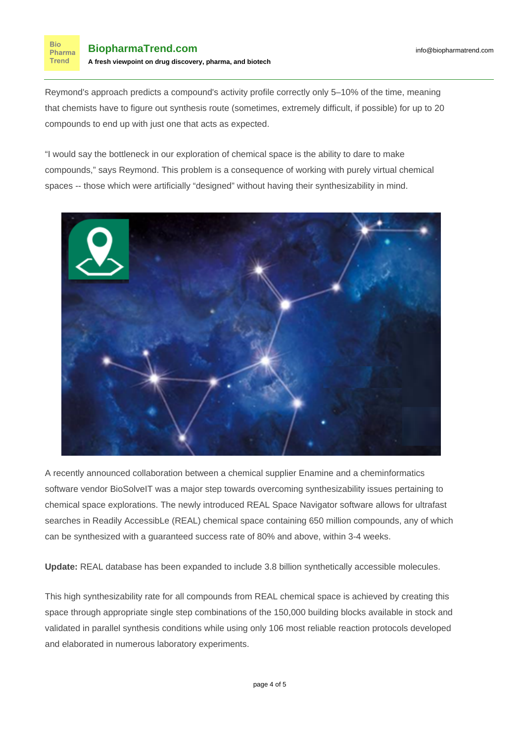**Bio** 

**Trend** 

Reymond's approach predicts a compound's activity profile correctly only 5–10% of the time, meaning that chemists have to figure out synthesis route (sometimes, extremely difficult, if possible) for up to 20 compounds to end up with just one that acts as expected.

"I would say the bottleneck in our exploration of chemical space is the ability to dare to make compounds," says Reymond. This problem is a consequence of working with purely virtual chemical spaces -- those which were artificially "designed" without having their synthesizability in mind.



A [recently announced collaboration](http://www.enamine.net/index.php?option=com_content&id=259) between a chemical supplier Enamine and a cheminformatics software vendor BioSolveIT was a major step towards overcoming synthesizability issues pertaining to chemical space explorations. The newly introduced [REAL Space Navigator](https://www.biosolveit.de/REALSpaceNavigator/) software allows for ultrafast searches in Readily AccessibLe (REAL) chemical space containing 650 million compounds, any of which can be synthesized with a guaranteed success rate of 80% and above, within 3-4 weeks.

**Update:** REAL database has been expanded to include [3.8 billion](https://www.businesswire.com/news/home/20180604005586/en/New-REAL-Space-Navigator-Breaks-Billion-Compound) synthetically accessible molecules.

This high synthesizability rate for all compounds from REAL chemical space is achieved by creating this space through appropriate single step combinations of the 150,000 building blocks available in stock and validated in parallel synthesis conditions while using only 106 most reliable reaction protocols developed and elaborated in numerous laboratory experiments.